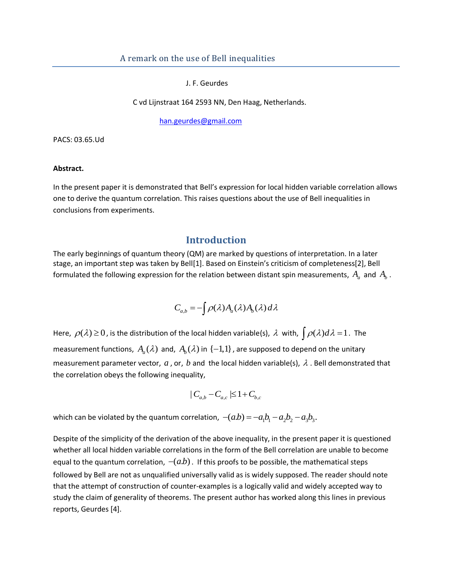J. F. Geurdes

C vd Lijnstraat 164 2593 NN, Den Haag, Netherlands.

[han.geurdes@gmail.com](mailto:han.geurdes@gmail.com)

PACS: 03.65.Ud

#### **Abstract.**

In the present paper it is demonstrated that Bell's expression for local hidden variable correlation allows one to derive the quantum correlation. This raises questions about the use of Bell inequalities in conclusions from experiments.

### **Introduction**

The early beginnings of quantum theory (QM) are marked by questions of interpretation. In a later stage, an important step was taken by Bell[1]. Based on Einstein's criticism of completeness[2], Bell formulated the following expression for the relation between distant spin measurements,  $A_{\scriptscriptstyle a}^{}$  and  $\,A_{\scriptscriptstyle b}^{}$  .

$$
C_{a,b} = -\int \rho(\lambda) A_a(\lambda) A_b(\lambda) d\lambda
$$

Here,  $\rho(\lambda) \ge 0$ , is the distribution of the local hidden variable(s),  $\lambda$  with,  $\int \rho(\lambda) d\lambda = 1$ . The measurement functions,  $A_a(\lambda)$  and,  $A_b(\lambda)$  in  $\{-1,1\}$ , are supposed to depend on the unitary measurement parameter vector,  $a$ , or,  $b$  and the local hidden variable(s),  $\lambda$  . Bell demonstrated that the correlation obeys the following inequality,

$$
|C_{a,b} - C_{a,c}| \leq 1 + C_{b,c}
$$

which can be violated by the quantum correlation,  $-(a.b) = -a_1b_1 - a_2b_2 - a_3b_3$ .

Despite of the simplicity of the derivation of the above inequality, in the present paper it is questioned whether all local hidden variable correlations in the form of the Bell correlation are unable to become equal to the quantum correlation,  $-(ab)$ . If this proofs to be possible, the mathematical steps followed by Bell are not as unqualified universally valid as is widely supposed. The reader should note that the attempt of construction of counter-examples is a logically valid and widely accepted way to study the claim of generality of theorems. The present author has worked along this lines in previous reports, Geurdes [4].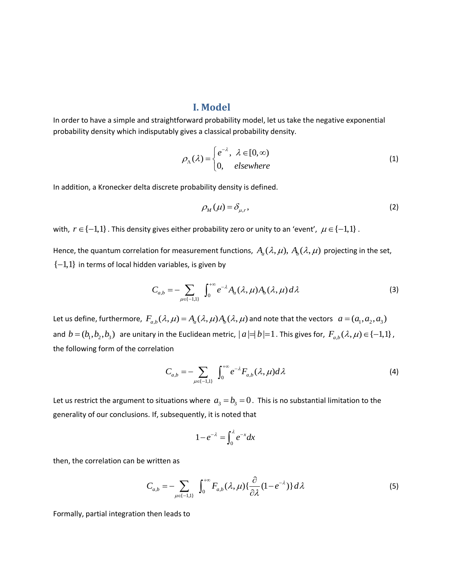### **I. Model**

In order to have a simple and straightforward probability model, let us take the negative exponential probability density which indisputably gives a classical probability density.

$$
\rho_{\Lambda}(\lambda) = \begin{cases} e^{-\lambda}, & \lambda \in [0, \infty) \\ 0, & \text{elsewhere} \end{cases}
$$
\n(1)

In addition, a Kronecker delta discrete probability density is defined.

$$
\rho_M(\mu) = \delta_{\mu,r},\tag{2}
$$

with,  $r \in \{-1,1\}$ . This density gives either probability zero or unity to an 'event',  $\mu \in \{-1,1\}$ .

Hence, the quantum correlation for measurement functions,  $A_a^{}(\lambda,\mu),$   $A_b^{}(\lambda,\mu)$  projecting in the set,  $\{-1,1\}$  in terms of local hidden variables, is given by

$$
C_{a,b} = -\sum_{\mu \in \{-1,1\}} \int_0^{+\infty} e^{-\lambda} A_a(\lambda, \mu) A_b(\lambda, \mu) d\lambda
$$
 (3)

Let us define, furthermore,  $F_{a,b}(\lambda,\mu)$  =  $A_a(\lambda,\mu)A_b(\lambda,\mu)$  and note that the vectors  $a$  =  $(a_1,a_2,a_3)$ and  $b = (b_1, b_2, b_3)$  are unitary in the Euclidean metric,  $|a| = |b| = 1$  . This gives for,  $F_{a,b}(\lambda, \mu) \in \{-1,1\}$  , the following form of the correlation

$$
C_{a,b} = -\sum_{\mu \in \{-1,1\}} \int_0^{+\infty} e^{-\lambda} F_{a,b}(\lambda, \mu) d\lambda \tag{4}
$$

Let us restrict the argument to situations where  $a_3 = b_3 = 0$ . This is no substantial limitation to the generality of our conclusions. If, subsequently, it is noted that

$$
1-e^{-\lambda}=\int_0^{\lambda}e^{-x}dx
$$

then, the correlation can be written as

$$
C_{a,b} = -\sum_{\mu \in \{-1,1\}} \int_0^{+\infty} F_{a,b}(\lambda,\mu) \left\{ \frac{\partial}{\partial \lambda} (1 - e^{-\lambda}) \right\} d\lambda \tag{5}
$$

Formally, partial integration then leads to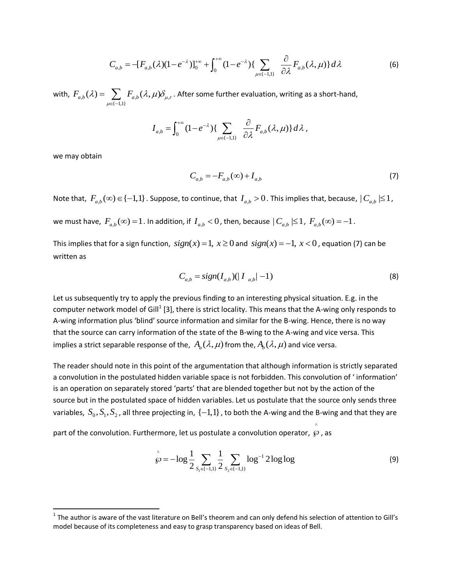$$
C_{a,b} = -[F_{a,b}(\lambda)(1 - e^{-\lambda})]_0^{+\infty} + \int_0^{+\infty} (1 - e^{-\lambda}) \{ \sum_{\mu \in \{-1,1\}} \frac{\partial}{\partial \lambda} F_{a,b}(\lambda, \mu) \} d\lambda \tag{6}
$$

with,  $F_{a,b}(\lambda) = \sum F_{a,b}(\lambda,\mu) \delta_{\mu,\mu}$  $\sum_{\{-1,1\}}$  $F_{a,b}(\lambda) = \sum_{\mu \in \{-1,1\}} F_{a,b}(\lambda, \mu) \delta_{\mu, r}$  $\lambda$ ) =  $\sum F_{a,b}(\lambda,\mu)\delta_{\mu,r}$ .  $=\sum_{\mu\in\{-1,1\}}F_{a,b}(\lambda,\mu)\delta_{\mu,r}$  . After some further evaluation, writing as a short-hand,

$$
I_{a,b} = \int_0^{+\infty} (1 - e^{-\lambda}) \{ \sum_{\mu \in \{-1,1\}} \frac{\partial}{\partial \lambda} F_{a,b}(\lambda, \mu) \} d\lambda,
$$

we may obtain

 $\overline{a}$ 

$$
C_{a,b} = -F_{a,b}(\infty) + I_{a,b} \tag{7}
$$

Note that,  $F_{a,b}(\infty) \in \{-1,1\}$ . Suppose, to continue, that  $I_{a,b} > 0$ . This implies that, because,  $|C_{a,b}| \leq 1$ ,

we must have,  $F_{a,b}(\infty) = 1$  . In addition, if  $I_{a,b} < 0$  , then, because  $|C_{a,b}| \leq 1$  ,  $F_{a,b}(\infty) = -1$  .

This implies that for a sign function,  $sign(x) = 1, x \ge 0$  and  $sign(x) = -1, x < 0$ , equation (7) can be written as

$$
C_{a,b} = sign(I_{a,b})(|I_{a,b}|-1)
$$
\n(8)

Let us subsequently try to apply the previous finding to an interesting physical situation. E.g. in the computer network model of Gill<sup>1</sup> [3], there is strict locality. This means that the A-wing only responds to A-wing information plus 'blind' source information and similar for the B-wing. Hence, there is no way that the source can carry information of the state of the B-wing to the A-wing and vice versa. This implies a strict separable response of the,  $\ A_a(\lambda,\mu)$  from the,  $A_b(\lambda,\mu)$  and vice versa.

The reader should note in this point of the argumentation that although information is strictly separated a convolution in the postulated hidden variable space is not forbidden. This convolution of ' information' is an operation on separately stored 'parts' that are blended together but not by the action of the source but in the postulated space of hidden variables. Let us postulate that the source only sends three variables,  $S_0, S_1, S_2$ , all three projecting in,  $\{-1,1\}$ , to both the A-wing and the B-wing and that they are

part of the convolution. Furthermore, let us postulate a convolution operator,  $\wp$  , as

$$
\hat{\wp} = -\log \frac{1}{2} \sum_{S_1 \in \{-1, 1\}} \frac{1}{2} \sum_{S_2 \in \{-1, 1\}} \log^{-1} 2 \log \log \tag{9}
$$

^

<sup>&</sup>lt;sup>1</sup> The author is aware of the vast literature on Bell's theorem and can only defend his selection of attention to Gill's model because of its completeness and easy to grasp transparency based on ideas of Bell.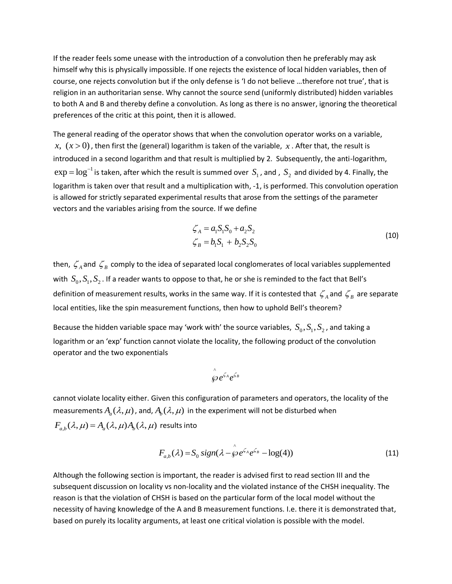If the reader feels some unease with the introduction of a convolution then he preferably may ask himself why this is physically impossible. If one rejects the existence of local hidden variables, then of course, one rejects convolution but if the only defense is 'I do not believe …therefore not true', that is religion in an authoritarian sense. Why cannot the source send (uniformly distributed) hidden variables to both A and B and thereby define a convolution. As long as there is no answer, ignoring the theoretical preferences of the critic at this point, then it is allowed.

The general reading of the operator shows that when the convolution operator works on a variable,  $x, (x > 0)$  , then first the (general) logarithm is taken of the variable,  $x$  . After that, the result is introduced in a second logarithm and that result is multiplied by 2. Subsequently, the anti-logarithm,  $\exp=\log^{-1}$  is taken, after which the result is summed over  $\,S_1^{}$  , and ,  $\,S_2^{}$  and divided by 4. Finally, the logarithm is taken over that result and a multiplication with, -1, is performed. This convolution operation is allowed for strictly separated experimental results that arose from the settings of the parameter vectors and the variables arising from the source. If we define

$$
\zeta_A = a_1 S_1 S_0 + a_2 S_2 \n\zeta_B = b_1 S_1 + b_2 S_2 S_0
$$
\n(10)

then,  $\zeta_{\scriptscriptstyle A}$  and  $\,\zeta_{\scriptscriptstyle B}$  comply to the idea of separated local conglomerates of local variables supplemented with  $S_0, S_1, S_2$  . If a reader wants to oppose to that, he or she is reminded to the fact that Bell's definition of measurement results, works in the same way. If it is contested that  $\zeta_{\scriptscriptstyle A}$  and  $\zeta_{\scriptscriptstyle B}$  are separate local entities, like the spin measurement functions, then how to uphold Bell's theorem?

Because the hidden variable space may 'work with' the source variables,  $S_0, S_1, S_2$ , and taking a logarithm or an 'exp' function cannot violate the locality, the following product of the convolution operator and the two exponentials

$$
\int_{\mathcal{S}}^{\wedge} e^{\zeta_A} e^{\zeta_B}
$$

cannot violate locality either. Given this configuration of parameters and operators, the locality of the measurements  $A_a(\lambda,\mu)$  , and,  $A_b(\lambda,\mu)$  in the experiment will not be disturbed when  $F_{a,b}(\lambda,\mu) = A_a(\lambda,\mu)A_b(\lambda,\mu)$  results into

$$
F_{a,b}(\lambda) = S_0 \operatorname{sign}(\lambda - \hat{\wp} e^{\zeta_A} e^{\zeta_B} - \log(4))
$$
\n(11)

Although the following section is important, the reader is advised first to read section III and the subsequent discussion on locality vs non-locality and the violated instance of the CHSH inequality. The reason is that the violation of CHSH is based on the particular form of the local model without the necessity of having knowledge of the A and B measurement functions. I.e. there it is demonstrated that, based on purely its locality arguments, at least one critical violation is possible with the model.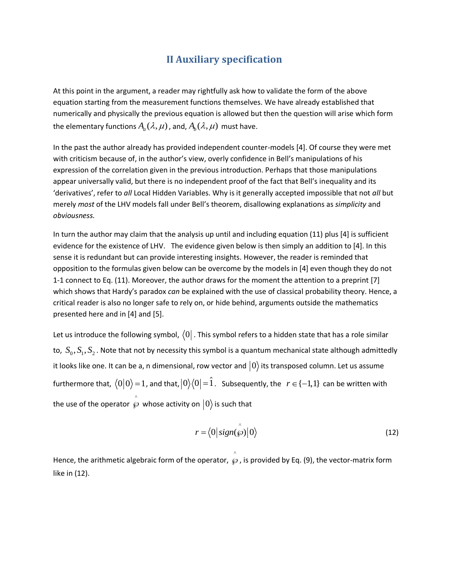# **II Auxiliary specification**

At this point in the argument, a reader may rightfully ask how to validate the form of the above equation starting from the measurement functions themselves. We have already established that numerically and physically the previous equation is allowed but then the question will arise which form the elementary functions  $A_a(\lambda,\mu)$  , and,  $A_b(\lambda,\mu) \,$  must have.

In the past the author already has provided independent counter-models [4]. Of course they were met with criticism because of, in the author's view, overly confidence in Bell's manipulations of his expression of the correlation given in the previous introduction. Perhaps that those manipulations appear universally valid, but there is no independent proof of the fact that Bell's inequality and its 'derivatives', refer to *all* Local Hidden Variables. Why is it generally accepted impossible that not *all* but merely *most* of the LHV models fall under Bell's theorem, disallowing explanations as *simplicity* and *obviousness.*

In turn the author may claim that the analysis up until and including equation (11) plus [4] is sufficient evidence for the existence of LHV. The evidence given below is then simply an addition to [4]. In this sense it is redundant but can provide interesting insights. However, the reader is reminded that opposition to the formulas given below can be overcome by the models in [4] even though they do not 1-1 connect to Eq. (11). Moreover, the author draws for the moment the attention to a preprint [7] which shows that Hardy's paradox *can* be explained with the use of classical probability theory. Hence, a critical reader is also no longer safe to rely on, or hide behind, arguments outside the mathematics presented here and in [4] and [5].

Let us introduce the following symbol,  $\bra{0}$  . This symbol refers to a hidden state that has a role similar to,  $S_0, S_1, S_2$  . Note that not by necessity this symbol is a quantum mechanical state although admittedly it looks like one. It can be a, n dimensional, row vector and  $\ket{0}$  its transposed column. Let us assume furthermore that,  $\langle 0|0\rangle$  = 1 , and that,  $|0\rangle\langle 0|$  = 1 . Subsequently, the  $\;$   $\;$   $\epsilon$  {–1,1} can be written with the use of the operator  $\,\wp\,$  whose activity on  $|0\rangle$  is such that ^

$$
r = \langle 0 | sign(\hat{\wp}) | 0 \rangle \tag{12}
$$

Hence, the arithmetic algebraic form of the operator,  $\wp$  , is provided by Eq. (9), the vector-matrix form  $\wedge$ like in (12).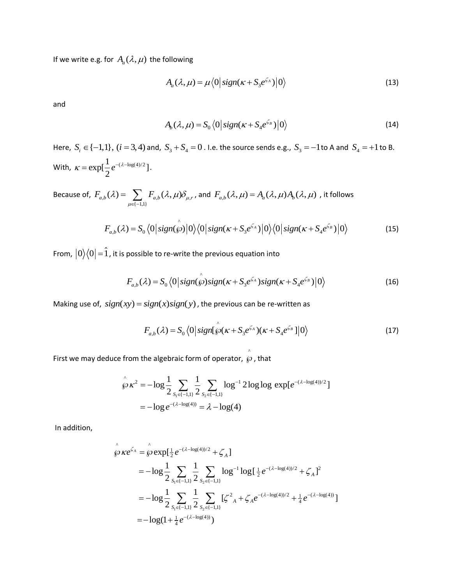If we write e.g. for  $A_a(\lambda,\mu)$  the following

$$
A_a(\lambda,\mu) = \mu \langle 0 | sign(\kappa + S_3 e^{\zeta_A}) | 0 \rangle \tag{13}
$$

and

$$
A_b(\lambda, \mu) = S_0 \langle 0 | sign(\kappa + S_4 e^{\zeta_B}) | 0 \rangle
$$
\n(14)

Here,  $S_i \in \{-1,1\}$ ,  $(i = 3, 4)$  and,  $S_3 + S_4 = 0$ . I.e. the source sends e.g.,  $S_3 = -1$  to A and  $S_4 = +1$  to B. With,  $\kappa = \exp[\frac{1}{2}e^{-(\lambda - \log(4)/2})]$ 2  $\kappa = \exp[\frac{1}{2}e^{-(\lambda - \log(4)/2)}].$ 

Because of,  $\,F_{a,b}(\lambda) = \sum_{a,b} \, F_{a,b}(\lambda,\mu) \delta_{\mu,\mu} \,$  $\sum_{\{-1,1\}}$  $F_{a,b}(\lambda) = \sum_{\mu \in \{-1,1\}} F_{a,b}(\lambda, \mu) \delta_{\mu, r}$  $\lambda$ ) =  $\sum F_{a,b}(\lambda,\mu)\delta_{\mu,r}$ ,  $=\sum_{\mu\in \{-1,1\}}F_{a,b}(\lambda,\mu)\delta_{\mu,r}$  , and  $\,F_{a,b}(\lambda,\mu)=A_a(\lambda,\mu)A_b(\lambda,\mu)\,$  , it follows

$$
F_{a,b}(\lambda) = S_0 \langle 0 | sign(\hat{\wp}) | 0 \rangle \langle 0 | sign(\kappa + S_3 e^{\zeta_A}) | 0 \rangle \langle 0 | sign(\kappa + S_4 e^{\zeta_B}) | 0 \rangle
$$
(15)

From,  $|0\rangle\langle 0|$   $\!=$   $\!1$  , it is possible to re-write the previous equation into

$$
F_{a,b}(\lambda) = S_0 \langle 0 | sign(\hat{\wp}) sign(\kappa + S_3 e^{\zeta_A}) sign(\kappa + S_4 e^{\zeta_B}) | 0 \rangle
$$
 (16)

Making use of,  $sign(xy) = sign(x) sign(y)$ , the previous can be re-written as

$$
F_{a,b}(\lambda) = S_0 \langle 0 | sign[\hat{\wp}(\kappa + S_3 e^{\zeta_A})(\kappa + S_4 e^{\zeta_B})]0 \rangle
$$
 (17)

First we may deduce from the algebraic form of operator,

from the algebraic form of operator, 
$$
\hat{g}
$$
, that  
\n
$$
\hat{\hat{g}} \times \hat{k}^2 = -\log \frac{1}{2} \sum_{S_1 \in \{-1,1\}} \frac{1}{2} \sum_{S_2 \in \{-1,1\}} \log^{-1} 2 \log \log \exp[e^{-(\lambda - \log(4))/2}]
$$
\n
$$
= -\log e^{-(\lambda - \log(4))} = \lambda - \log(4)
$$

In addition,

$$
\hat{\wp} \kappa e^{\zeta_A} = \hat{\wp} \exp[\frac{1}{2} e^{-(\lambda - \log(4))/2} + \zeta_A]
$$
  
=  $-\log \frac{1}{2} \sum_{S_1 \in \{-1,1\}} \frac{1}{2} \sum_{S_2 \in \{-1,1\}} \log^{-1} \log[\frac{1}{2} e^{-(\lambda - \log(4))/2} + \zeta_A]^2$   
=  $-\log \frac{1}{2} \sum_{S_1 \in \{-1,1\}} \frac{1}{2} \sum_{S_2 \in \{-1,1\}} [\zeta^2]_A + \zeta_A e^{-(\lambda - \log(4))/2} + \frac{1}{4} e^{-(\lambda - \log(4))}]$   
=  $-\log(1 + \frac{1}{4} e^{-(\lambda - \log(4))})$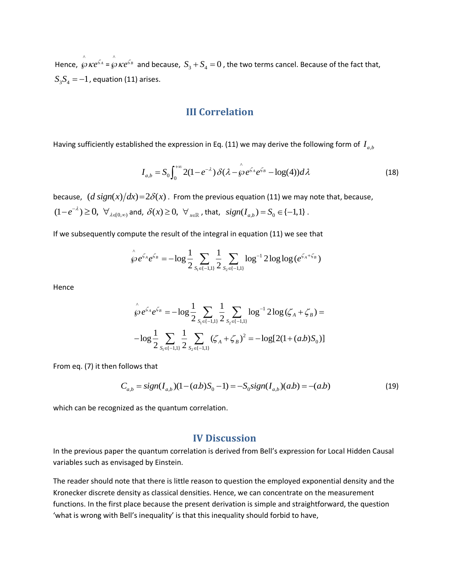Hence,  $\hat{\beta}$   $\kappa e^{\zeta_A}$  =  $\hat{\beta}$   $\kappa e^{\zeta_B}$  and because,  $S_3 + S_4 = 0$ , the two terms cancel. Because of the fact that,  $S_3S_4 = -1$  , equation (11) arises.

## **III Correlation**

Having sufficiently established the expression in Eq. (11) we may derive the following form of  $I_{a,b}$ 

$$
I_{a,b} = S_0 \int_0^{+\infty} 2(1 - e^{-\lambda}) \delta(\lambda - \hat{\wp} e^{\zeta_A} e^{\zeta_B} - \log(4)) d\lambda
$$
 (18)

because,  $(d \text{ sign}(x)/dx)$ = $2\delta(x)$ . From the previous equation (11) we may note that, because,  $(1-e^{-\lambda}) \geq 0$ ,  $\forall_{\lambda \in [0,\infty)}$  and,  $\delta(x) \geq 0$ ,  $\forall_{x \in \mathbb{R}}$ , that,  $sign(I_{a,b}) = S_0 \in \{-1,1\}$ .

If we subsequently compute the result of the integral in equation (11) we see that  
\n
$$
\hat{\wp}e^{\zeta_A}e^{\zeta_B} = -\log \frac{1}{2} \sum_{s_1 \in \{-1,1\}} \frac{1}{2} \sum_{s_2 \in \{-1,1\}} \log^{-1} 2 \log \log (e^{\zeta_A + \zeta_B})
$$

Hence

$$
\hat{\wp} e^{\zeta_A} e^{\zeta_B} = -\log \frac{1}{2} \sum_{S_1 \in \{-1,1\}} \frac{1}{2} \sum_{S_2 \in \{-1,1\}} \log^{-1} 2 \log (\zeta_A + \zeta_B) =
$$
  

$$
-\log \frac{1}{2} \sum_{S_1 \in \{-1,1\}} \frac{1}{2} \sum_{S_2 \in \{-1,1\}} (\zeta_A + \zeta_B)^2 = -\log [2(1 + (a.b)S_0)]
$$

From eq. (7) it then follows that

follows that  
\n
$$
C_{a,b} = sign(I_{a,b})(1 - (ab)S_0 - 1) = -S_0 sign(I_{a,b})(ab) = -(ab)
$$
\n(19)

which can be recognized as the quantum correlation.

### **IV Discussion**

In the previous paper the quantum correlation is derived from Bell's expression for Local Hidden Causal variables such as envisaged by Einstein.

The reader should note that there is little reason to question the employed exponential density and the Kronecker discrete density as classical densities. Hence, we can concentrate on the measurement functions. In the first place because the present derivation is simple and straightforward, the question 'what is wrong with Bell's inequality' is that this inequality should forbid to have,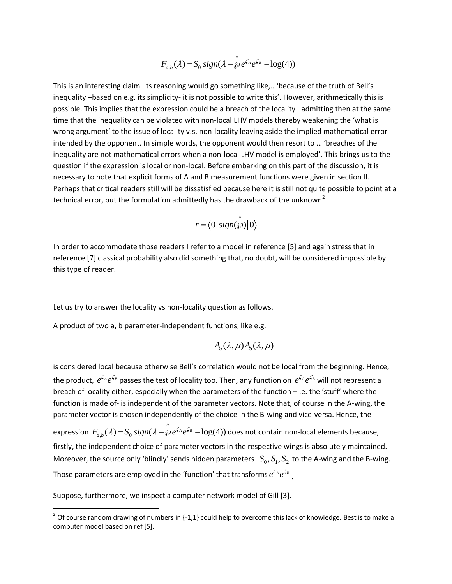$$
F_{a,b}(\lambda) = S_0 \, sign(\lambda - \hat{\wp} e^{\zeta_A} e^{\zeta_B} - \log(4))
$$

 $\lambda$ 

This is an interesting claim. Its reasoning would go something like,.. 'because of the truth of Bell's inequality –based on e.g. its simplicity- it is not possible to write this'. However, arithmetically this is possible. This implies that the expression could be a breach of the locality –admitting then at the same time that the inequality can be violated with non-local LHV models thereby weakening the 'what is wrong argument' to the issue of locality v.s. non-locality leaving aside the implied mathematical error intended by the opponent. In simple words, the opponent would then resort to … 'breaches of the inequality are not mathematical errors when a non-local LHV model is employed'. This brings us to the question if the expression is local or non-local. Before embarking on this part of the discussion, it is necessary to note that explicit forms of A and B measurement functions were given in section II. Perhaps that critical readers still will be dissatisfied because here it is still not quite possible to point at a technical error, but the formulation admittedly has the drawback of the unknown<sup>2</sup>

$$
r = \langle 0 | sign(\hat{\wp}) | 0 \rangle
$$

In order to accommodate those readers I refer to a model in reference [5] and again stress that in reference [7] classical probability also did something that, no doubt, will be considered impossible by this type of reader.

Let us try to answer the locality vs non-locality question as follows.

A product of two a, b parameter-independent functions, like e.g.

$$
A_a(\lambda,\mu)A_b(\lambda,\mu)
$$

is considered local because otherwise Bell's correlation would not be local from the beginning. Hence, the product,  $e^{\zeta_A}e^{\zeta_B}$  passes the test of locality too. Then, any function on  $e^{\zeta_A}e^{\zeta_B}$  will not represent a breach of locality either, especially when the parameters of the function –i.e. the 'stuff' where the function is made of- is independent of the parameter vectors. Note that, of course in the A-wing, the parameter vector is chosen independently of the choice in the B-wing and vice-versa. Hence, the expression ^  $F_{a,b}(\lambda) = S_0 \, sign(\lambda - \hat{\wp} e^{\zeta_A} e^{\zeta_B} - \log(4))$  does not contain non-local elements because, firstly, the independent choice of parameter vectors in the respective wings is absolutely maintained. Moreover, the source only 'blindly' sends hidden parameters  $S_0, S_1, S_2$  to the A-wing and the B-wing. Those parameters are employed in the 'function' that transforms  $e^{\zeta_A}e^{\zeta_B}$  .

Suppose, furthermore, we inspect a computer network model of Gill [3].

 $\overline{a}$ 

<sup>&</sup>lt;sup>2</sup> Of course random drawing of numbers in {-1,1} could help to overcome this lack of knowledge. Best is to make a computer model based on ref [5].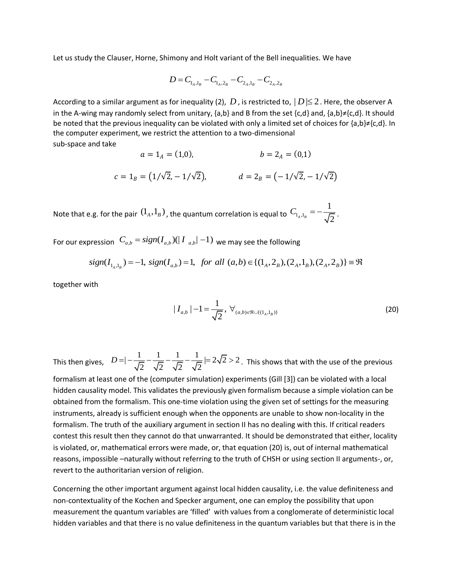Let us study the Clauser, Horne, Shimony and Holt variant of the Bell inequalities. We have

$$
D = C_{1_A,1_B} - C_{1_A,2_B} - C_{2_A,1_B} - C_{2_A,2_B}
$$

According to a similar argument as for inequality (2),  $D$  , is restricted to,  $|D|$  $\leq$  2. Here, the observer A in the A-wing may randomly select from unitary, {a,b} and B from the set {c,d} and, {a,b}≠{c,d}. It should be noted that the previous inequality can be violated with only a limited set of choices for {a,b}≠{c,d}. In the computer experiment, we restrict the attention to a two-dimensional sub-space and take

$$
a = 1_A = (1,0), \qquad b = 2_A = (0,1)
$$
  

$$
c = 1_B = (1/\sqrt{2}, -1/\sqrt{2}), \qquad d = 2_B = (-1/\sqrt{2}, -1/\sqrt{2})
$$

Note that e.g. for the pair  $(1_{\scriptscriptstyle{A}},1_{\scriptscriptstyle{B}})$  , the quantum correlation is equal to  $\overline{C_{1_{\scriptscriptstyle{A}},1}}$ 1  $C_{1_A,1_B} = -\frac{1}{\sqrt{2}}$ .

For our expression  $C_{a,b} = sign(I_{a,b})(|I_{a,b}|-1)$  we may see the following

$$
\begin{aligned}\n\text{pression} \ \ C_{a,b} &= sign(I_{a,b})(|I_{a,b}|-1) \text{ we may see the following} \\
\text{sign}(I_{1_A,1_B}) &= -1, \ \text{sign}(I_{a,b}) = 1, \ \text{for all } (a,b) \in \{ (1_A, 2_B), (2_A, 1_B), (2_A, 2_B) \} = \Re\n\end{aligned}
$$

together with

$$
|I_{a,b}| - 1 = \frac{1}{\sqrt{2}}, \ \forall_{(a,b)\in\mathfrak{R}\cup\{(1_A,1_B)\}} \tag{20}
$$

This then gives,  $|D| = |\frac{1}{\sqrt{2}} - \frac{1}{\sqrt{2}} - \frac{1}{\sqrt{2}} - \frac{1}{\sqrt{2}}| = 2\sqrt{2} > 2$ . This shows that with the use of the previous

formalism at least one of the (computer simulation) experiments (Gill [3]) can be violated with a local hidden causality model. This validates the previously given formalism because a simple violation can be obtained from the formalism. This one-time violation using the given set of settings for the measuring instruments, already is sufficient enough when the opponents are unable to show non-locality in the formalism. The truth of the auxiliary argument in section II has no dealing with this. If critical readers contest this result then they cannot do that unwarranted. It should be demonstrated that either, locality is violated, or, mathematical errors were made, or, that equation (20) is, out of internal mathematical reasons, impossible –naturally without referring to the truth of CHSH or using section II arguments-, or, revert to the authoritarian version of religion.

Concerning the other important argument against local hidden causality, i.e. the value definiteness and non-contextuality of the Kochen and Specker argument, one can employ the possibility that upon measurement the quantum variables are 'filled' with values from a conglomerate of deterministic local hidden variables and that there is no value definiteness in the quantum variables but that there is in the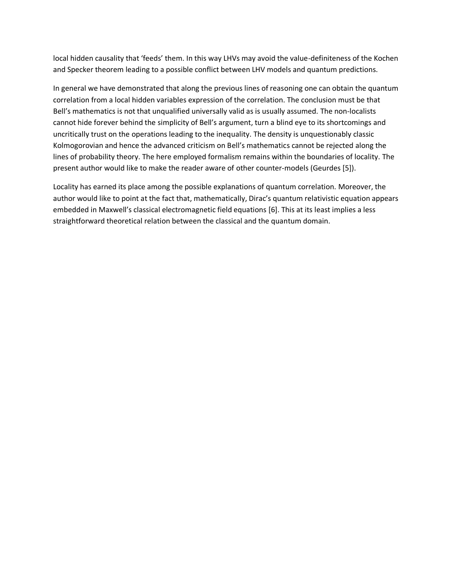local hidden causality that 'feeds' them. In this way LHVs may avoid the value-definiteness of the Kochen and Specker theorem leading to a possible conflict between LHV models and quantum predictions.

In general we have demonstrated that along the previous lines of reasoning one can obtain the quantum correlation from a local hidden variables expression of the correlation. The conclusion must be that Bell's mathematics is not that unqualified universally valid as is usually assumed. The non-localists cannot hide forever behind the simplicity of Bell's argument, turn a blind eye to its shortcomings and uncritically trust on the operations leading to the inequality. The density is unquestionably classic Kolmogorovian and hence the advanced criticism on Bell's mathematics cannot be rejected along the lines of probability theory. The here employed formalism remains within the boundaries of locality. The present author would like to make the reader aware of other counter-models (Geurdes [5]).

Locality has earned its place among the possible explanations of quantum correlation. Moreover, the author would like to point at the fact that, mathematically, Dirac's quantum relativistic equation appears embedded in Maxwell's classical electromagnetic field equations [6]. This at its least implies a less straightforward theoretical relation between the classical and the quantum domain.